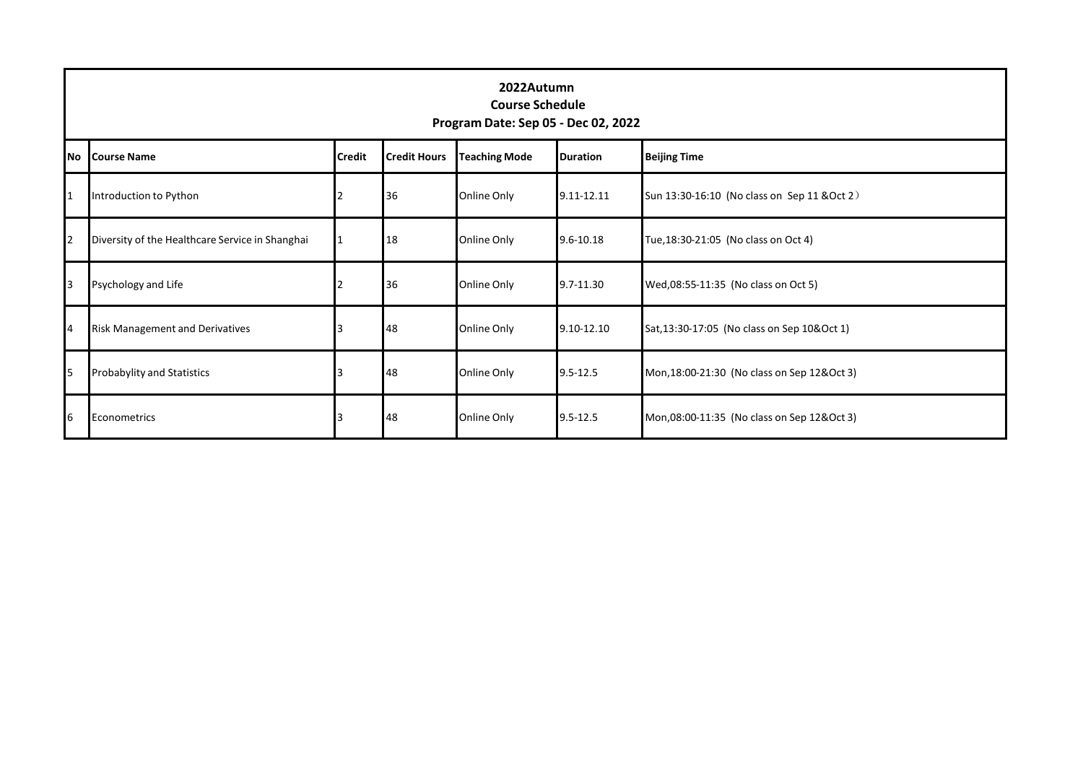|                |                                                 | 2022Autumn<br><b>Course Schedule</b><br>Program Date: Sep 05 - Dec 02, 2022 |                     |                      |                 |                                              |  |
|----------------|-------------------------------------------------|-----------------------------------------------------------------------------|---------------------|----------------------|-----------------|----------------------------------------------|--|
|                | No Course Name                                  | <b>Credit</b>                                                               | <b>Credit Hours</b> | <b>Teaching Mode</b> | <b>Duration</b> | <b>Beijing Time</b>                          |  |
|                | Introduction to Python                          |                                                                             | 36                  | Online Only          | 9.11-12.11      | Sun 13:30-16:10 (No class on Sep 11 & Oct 2) |  |
| 2              | Diversity of the Healthcare Service in Shanghai |                                                                             | 18                  | Online Only          | 9.6-10.18       | Tue, 18:30-21:05 (No class on Oct 4)         |  |
| 3              | Psychology and Life                             |                                                                             | 36                  | Online Only          | 9.7-11.30       | Wed,08:55-11:35 (No class on Oct 5)          |  |
| $\overline{4}$ | <b>Risk Management and Derivatives</b>          |                                                                             | 48                  | Online Only          | 9.10-12.10      | Sat, 13:30-17:05 (No class on Sep 10&Oct 1)  |  |
| 5              | <b>Probabylity and Statistics</b>               |                                                                             | 48                  | Online Only          | $9.5 - 12.5$    | Mon, 18:00-21:30 (No class on Sep 12& Oct 3) |  |
| 6              | Econometrics                                    |                                                                             | 48                  | Online Only          | $9.5 - 12.5$    | Mon,08:00-11:35 (No class on Sep 12&Oct 3)   |  |